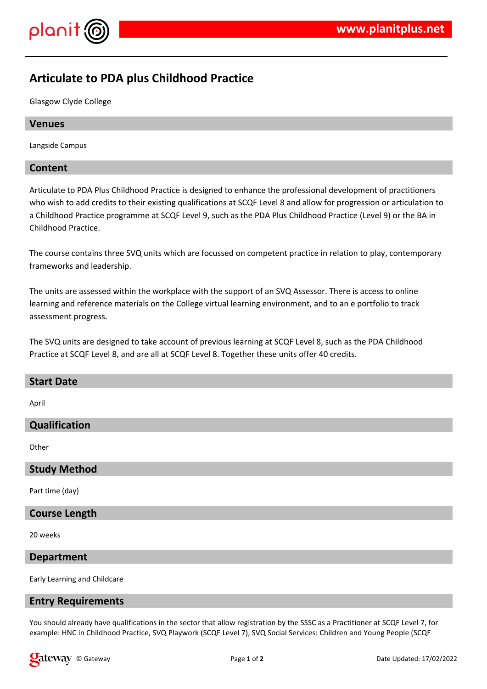

# **Articulate to PDA plus Childhood Practice**

Glasgow Clyde College

## **Venues**

Langside Campus

## **Content**

Articulate to PDA Plus Childhood Practice is designed to enhance the professional development of practitioners who wish to add credits to their existing qualifications at SCQF Level 8 and allow for progression or articulation to a Childhood Practice programme at SCQF Level 9, such as the PDA Plus Childhood Practice (Level 9) or the BA in Childhood Practice.

The course contains three SVQ units which are focussed on competent practice in relation to play, contemporary frameworks and leadership.

The units are assessed within the workplace with the support of an SVQ Assessor. There is access to online learning and reference materials on the College virtual learning environment, and to an e portfolio to track assessment progress.

The SVQ units are designed to take account of previous learning at SCQF Level 8, such as the PDA Childhood Practice at SCQF Level 8, and are all at SCQF Level 8. Together these units offer 40 credits.

| <b>Start Date</b> |  |
|-------------------|--|
| April             |  |
|                   |  |

**Qualification**

**Other** 

#### **Study Method**

Part time (day)

## **Course Length**

20 weeks

#### **Department**

Early Learning and Childcare

#### **Entry Requirements**

You should already have qualifications in the sector that allow registration by the SSSC as a Practitioner at SCQF Level 7, for example: HNC in Childhood Practice, SVQ Playwork (SCQF Level 7), SVQ Social Services: Children and Young People (SCQF